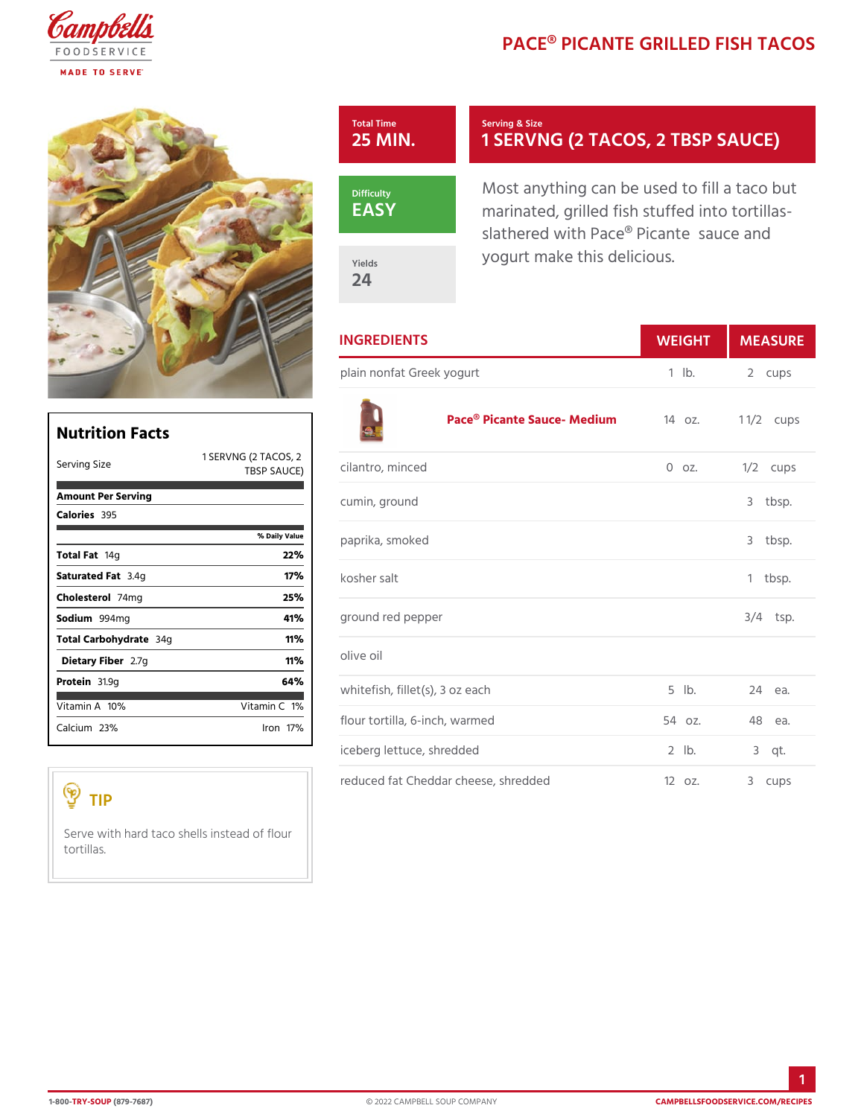## PACE® PICANTE GRILLED

| Total Time<br>25 MIN. | Serving & Size<br>1 SERVNG (2 TACOS, 2                                                               |  |
|-----------------------|------------------------------------------------------------------------------------------------------|--|
| Difficulty<br>EASY    | Most anything can be used to fi<br>marinated, grilled fish stuffed i<br>slathered with Pace® Picante |  |
| Yields<br>24          | yogurt make this delicious.                                                                          |  |

|                                  |                      | <b>INGREDIENTS</b>         |                                          | WEIGH       | MEASU       |  |
|----------------------------------|----------------------|----------------------------|------------------------------------------|-------------|-------------|--|
|                                  |                      |                            | plain nonfat Greek yogurt                | $1$ $1b$ .  | 2 cups      |  |
| <b>Nutrition Facts</b>           |                      |                            | Pace® Picante Sauce - Me4d buzm          |             | 1 $1/2$ ups |  |
| Serving Size                     | 1 SERVNG (2 TACOS, 2 | TBSP SAUCECIlantro, minced |                                          | $0$ $0z$ .  | $1/2$ cups  |  |
| Amount Per Serving<br>Calorie395 |                      | cumin, ground              |                                          |             | 3 tbsp.     |  |
| Total Fa4g                       | % Daily Value<br>22% | paprika, smoked            |                                          |             | 3 tbsp.     |  |
| Saturated 3F. atg                | 17%                  | kosher salt                |                                          |             | 1 tbsp.     |  |
| Choleste7dlmg                    | 25%                  |                            |                                          |             |             |  |
| Sodium994mg                      | 41%                  | ground red pepper          |                                          |             | $3/4$ tsp.  |  |
| Total Carbohy3d4gte              | 11%                  |                            |                                          |             |             |  |
| Dietary F21b7eg                  | 11%                  | olive oil                  |                                          |             |             |  |
| Protei81.9g                      | 64%                  |                            | whitefish, fillet(s), 3 oz each          | $5$ $ b $ . | 24 ea.      |  |
| Vitamin1 $\&$ %                  | Vitamin 10%          |                            |                                          |             |             |  |
| $C$ alcium <sup>3</sup> %        | $l$ ron 17 $\%$      |                            | flour tortilla, 6-inch, warmed           | 54 oz.      | 48 еа.      |  |
|                                  |                      |                            | iceberg lettuce, shredded                | $2$ $1b$ .  | $3$ qt.     |  |
|                                  |                      |                            | reduced fat Cheddar cheese, shredd eloz. |             | 3 cups      |  |

## TIP

Serve with hard taco shells instead of flour tortillas.